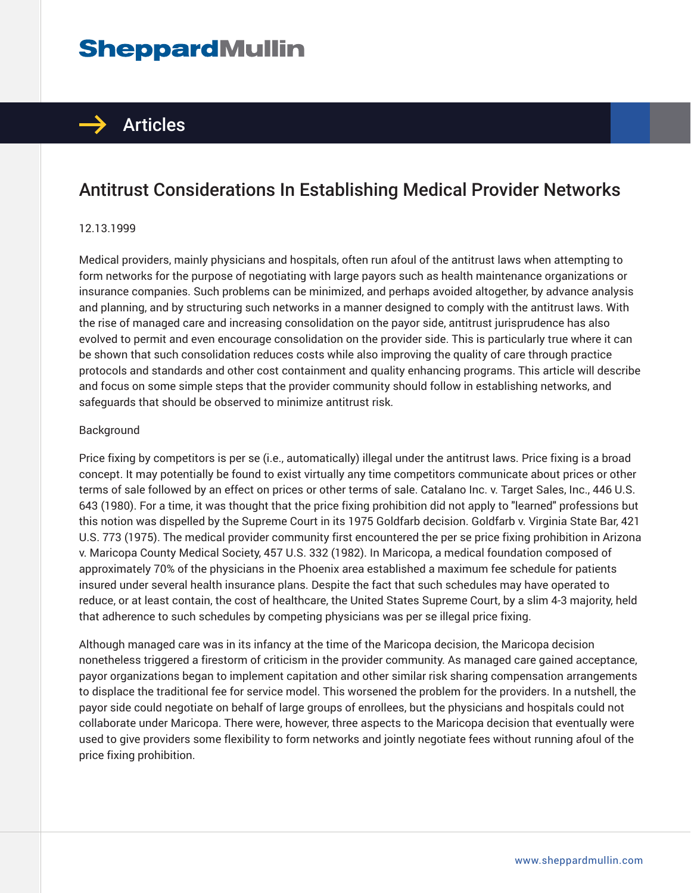# **SheppardMullin**



## Antitrust Considerations In Establishing Medical Provider Networks

#### 12.13.1999

Medical providers, mainly physicians and hospitals, often run afoul of the antitrust laws when attempting to form networks for the purpose of negotiating with large payors such as health maintenance organizations or insurance companies. Such problems can be minimized, and perhaps avoided altogether, by advance analysis and planning, and by structuring such networks in a manner designed to comply with the antitrust laws. With the rise of managed care and increasing consolidation on the payor side, antitrust jurisprudence has also evolved to permit and even encourage consolidation on the provider side. This is particularly true where it can be shown that such consolidation reduces costs while also improving the quality of care through practice protocols and standards and other cost containment and quality enhancing programs. This article will describe and focus on some simple steps that the provider community should follow in establishing networks, and safeguards that should be observed to minimize antitrust risk.

#### Background

Price fixing by competitors is per se (i.e., automatically) illegal under the antitrust laws. Price fixing is a broad concept. It may potentially be found to exist virtually any time competitors communicate about prices or other terms of sale followed by an effect on prices or other terms of sale. Catalano Inc. v. Target Sales, Inc., 446 U.S. 643 (1980). For a time, it was thought that the price fixing prohibition did not apply to "learned" professions but this notion was dispelled by the Supreme Court in its 1975 Goldfarb decision. Goldfarb v. Virginia State Bar, 421 U.S. 773 (1975). The medical provider community first encountered the per se price fixing prohibition in Arizona v. Maricopa County Medical Society, 457 U.S. 332 (1982). In Maricopa, a medical foundation composed of approximately 70% of the physicians in the Phoenix area established a maximum fee schedule for patients insured under several health insurance plans. Despite the fact that such schedules may have operated to reduce, or at least contain, the cost of healthcare, the United States Supreme Court, by a slim 4-3 majority, held that adherence to such schedules by competing physicians was per se illegal price fixing.

Although managed care was in its infancy at the time of the Maricopa decision, the Maricopa decision nonetheless triggered a firestorm of criticism in the provider community. As managed care gained acceptance, payor organizations began to implement capitation and other similar risk sharing compensation arrangements to displace the traditional fee for service model. This worsened the problem for the providers. In a nutshell, the payor side could negotiate on behalf of large groups of enrollees, but the physicians and hospitals could not collaborate under Maricopa. There were, however, three aspects to the Maricopa decision that eventually were used to give providers some flexibility to form networks and jointly negotiate fees without running afoul of the price fixing prohibition.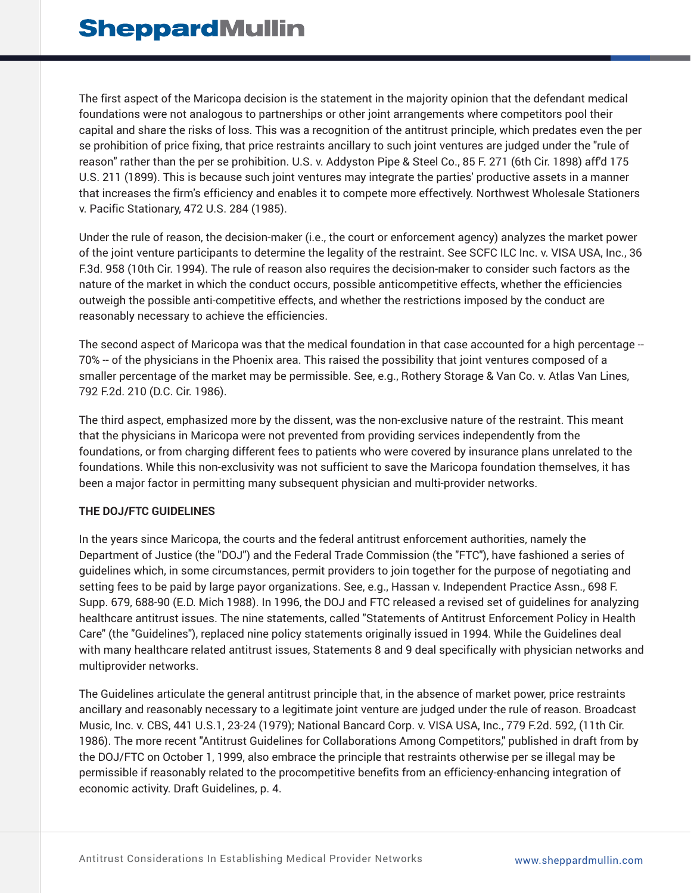The first aspect of the Maricopa decision is the statement in the majority opinion that the defendant medical foundations were not analogous to partnerships or other joint arrangements where competitors pool their capital and share the risks of loss. This was a recognition of the antitrust principle, which predates even the per se prohibition of price fixing, that price restraints ancillary to such joint ventures are judged under the "rule of reason" rather than the per se prohibition. U.S. v. Addyston Pipe & Steel Co., 85 F. 271 (6th Cir. 1898) aff'd 175 U.S. 211 (1899). This is because such joint ventures may integrate the parties' productive assets in a manner that increases the firm's efficiency and enables it to compete more effectively. Northwest Wholesale Stationers v. Pacific Stationary, 472 U.S. 284 (1985).

Under the rule of reason, the decision-maker (i.e., the court or enforcement agency) analyzes the market power of the joint venture participants to determine the legality of the restraint. See SCFC ILC Inc. v. VISA USA, Inc., 36 F.3d. 958 (10th Cir. 1994). The rule of reason also requires the decision-maker to consider such factors as the nature of the market in which the conduct occurs, possible anticompetitive effects, whether the efficiencies outweigh the possible anti-competitive effects, and whether the restrictions imposed by the conduct are reasonably necessary to achieve the efficiencies.

The second aspect of Maricopa was that the medical foundation in that case accounted for a high percentage -- 70% -- of the physicians in the Phoenix area. This raised the possibility that joint ventures composed of a smaller percentage of the market may be permissible. See, e.g., Rothery Storage & Van Co. v. Atlas Van Lines, 792 F.2d. 210 (D.C. Cir. 1986).

The third aspect, emphasized more by the dissent, was the non-exclusive nature of the restraint. This meant that the physicians in Maricopa were not prevented from providing services independently from the foundations, or from charging different fees to patients who were covered by insurance plans unrelated to the foundations. While this non-exclusivity was not sufficient to save the Maricopa foundation themselves, it has been a major factor in permitting many subsequent physician and multi-provider networks.

#### **THE DOJ/FTC GUIDELINES**

In the years since Maricopa, the courts and the federal antitrust enforcement authorities, namely the Department of Justice (the "DOJ") and the Federal Trade Commission (the "FTC"), have fashioned a series of guidelines which, in some circumstances, permit providers to join together for the purpose of negotiating and setting fees to be paid by large payor organizations. See, e.g., Hassan v. Independent Practice Assn., 698 F. Supp. 679, 688-90 (E.D. Mich 1988). In 1996, the DOJ and FTC released a revised set of guidelines for analyzing healthcare antitrust issues. The nine statements, called "Statements of Antitrust Enforcement Policy in Health Care" (the "Guidelines"), replaced nine policy statements originally issued in 1994. While the Guidelines deal with many healthcare related antitrust issues, Statements 8 and 9 deal specifically with physician networks and multiprovider networks.

The Guidelines articulate the general antitrust principle that, in the absence of market power, price restraints ancillary and reasonably necessary to a legitimate joint venture are judged under the rule of reason. Broadcast Music, Inc. v. CBS, 441 U.S.1, 23-24 (1979); National Bancard Corp. v. VISA USA, Inc., 779 F.2d. 592, (11th Cir. 1986). The more recent "Antitrust Guidelines for Collaborations Among Competitors," published in draft from by the DOJ/FTC on October 1, 1999, also embrace the principle that restraints otherwise per se illegal may be permissible if reasonably related to the procompetitive benefits from an efficiency-enhancing integration of economic activity. Draft Guidelines, p. 4.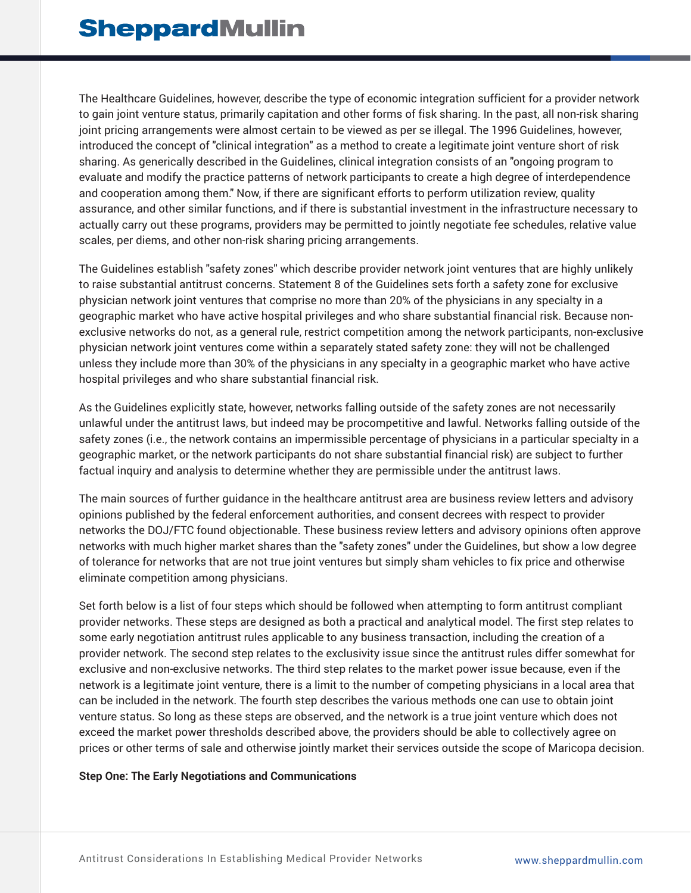The Healthcare Guidelines, however, describe the type of economic integration sufficient for a provider network to gain joint venture status, primarily capitation and other forms of fisk sharing. In the past, all non-risk sharing joint pricing arrangements were almost certain to be viewed as per se illegal. The 1996 Guidelines, however, introduced the concept of "clinical integration" as a method to create a legitimate joint venture short of risk sharing. As generically described in the Guidelines, clinical integration consists of an "ongoing program to evaluate and modify the practice patterns of network participants to create a high degree of interdependence and cooperation among them." Now, if there are significant efforts to perform utilization review, quality assurance, and other similar functions, and if there is substantial investment in the infrastructure necessary to actually carry out these programs, providers may be permitted to jointly negotiate fee schedules, relative value scales, per diems, and other non-risk sharing pricing arrangements.

The Guidelines establish "safety zones" which describe provider network joint ventures that are highly unlikely to raise substantial antitrust concerns. Statement 8 of the Guidelines sets forth a safety zone for exclusive physician network joint ventures that comprise no more than 20% of the physicians in any specialty in a geographic market who have active hospital privileges and who share substantial financial risk. Because nonexclusive networks do not, as a general rule, restrict competition among the network participants, non-exclusive physician network joint ventures come within a separately stated safety zone: they will not be challenged unless they include more than 30% of the physicians in any specialty in a geographic market who have active hospital privileges and who share substantial financial risk.

As the Guidelines explicitly state, however, networks falling outside of the safety zones are not necessarily unlawful under the antitrust laws, but indeed may be procompetitive and lawful. Networks falling outside of the safety zones (i.e., the network contains an impermissible percentage of physicians in a particular specialty in a geographic market, or the network participants do not share substantial financial risk) are subject to further factual inquiry and analysis to determine whether they are permissible under the antitrust laws.

The main sources of further guidance in the healthcare antitrust area are business review letters and advisory opinions published by the federal enforcement authorities, and consent decrees with respect to provider networks the DOJ/FTC found objectionable. These business review letters and advisory opinions often approve networks with much higher market shares than the "safety zones" under the Guidelines, but show a low degree of tolerance for networks that are not true joint ventures but simply sham vehicles to fix price and otherwise eliminate competition among physicians.

Set forth below is a list of four steps which should be followed when attempting to form antitrust compliant provider networks. These steps are designed as both a practical and analytical model. The first step relates to some early negotiation antitrust rules applicable to any business transaction, including the creation of a provider network. The second step relates to the exclusivity issue since the antitrust rules differ somewhat for exclusive and non-exclusive networks. The third step relates to the market power issue because, even if the network is a legitimate joint venture, there is a limit to the number of competing physicians in a local area that can be included in the network. The fourth step describes the various methods one can use to obtain joint venture status. So long as these steps are observed, and the network is a true joint venture which does not exceed the market power thresholds described above, the providers should be able to collectively agree on prices or other terms of sale and otherwise jointly market their services outside the scope of Maricopa decision.

#### **Step One: The Early Negotiations and Communications**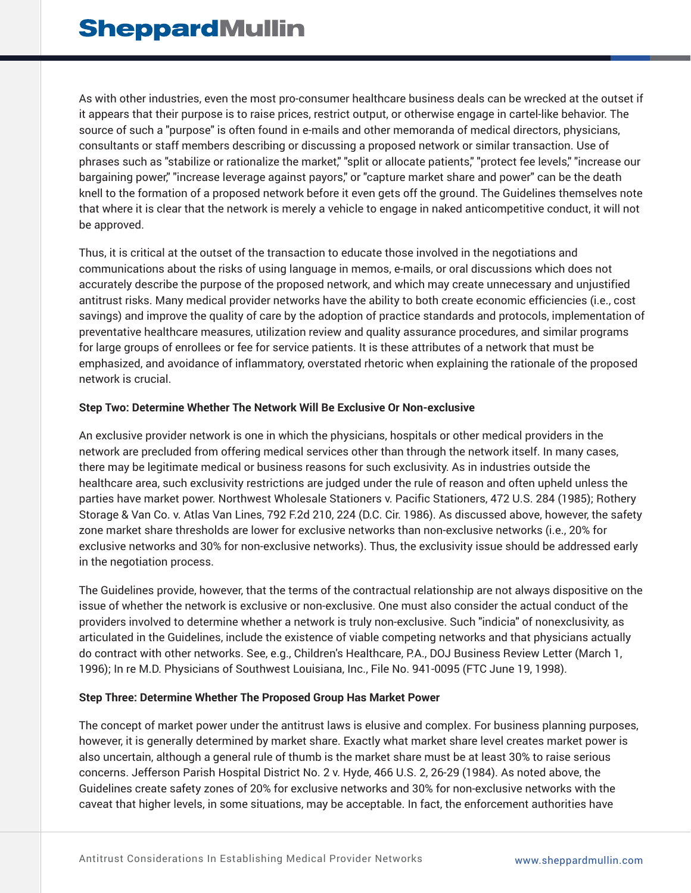As with other industries, even the most pro-consumer healthcare business deals can be wrecked at the outset if it appears that their purpose is to raise prices, restrict output, or otherwise engage in cartel-like behavior. The source of such a "purpose" is often found in e-mails and other memoranda of medical directors, physicians, consultants or staff members describing or discussing a proposed network or similar transaction. Use of phrases such as "stabilize or rationalize the market," "split or allocate patients," "protect fee levels," "increase our bargaining power," "increase leverage against payors," or "capture market share and power" can be the death knell to the formation of a proposed network before it even gets off the ground. The Guidelines themselves note that where it is clear that the network is merely a vehicle to engage in naked anticompetitive conduct, it will not be approved.

Thus, it is critical at the outset of the transaction to educate those involved in the negotiations and communications about the risks of using language in memos, e-mails, or oral discussions which does not accurately describe the purpose of the proposed network, and which may create unnecessary and unjustified antitrust risks. Many medical provider networks have the ability to both create economic efficiencies (i.e., cost savings) and improve the quality of care by the adoption of practice standards and protocols, implementation of preventative healthcare measures, utilization review and quality assurance procedures, and similar programs for large groups of enrollees or fee for service patients. It is these attributes of a network that must be emphasized, and avoidance of inflammatory, overstated rhetoric when explaining the rationale of the proposed network is crucial.

#### **Step Two: Determine Whether The Network Will Be Exclusive Or Non-exclusive**

An exclusive provider network is one in which the physicians, hospitals or other medical providers in the network are precluded from offering medical services other than through the network itself. In many cases, there may be legitimate medical or business reasons for such exclusivity. As in industries outside the healthcare area, such exclusivity restrictions are judged under the rule of reason and often upheld unless the parties have market power. Northwest Wholesale Stationers v. Pacific Stationers, 472 U.S. 284 (1985); Rothery Storage & Van Co. v. Atlas Van Lines, 792 F.2d 210, 224 (D.C. Cir. 1986). As discussed above, however, the safety zone market share thresholds are lower for exclusive networks than non-exclusive networks (i.e., 20% for exclusive networks and 30% for non-exclusive networks). Thus, the exclusivity issue should be addressed early in the negotiation process.

The Guidelines provide, however, that the terms of the contractual relationship are not always dispositive on the issue of whether the network is exclusive or non-exclusive. One must also consider the actual conduct of the providers involved to determine whether a network is truly non-exclusive. Such "indicia" of nonexclusivity, as articulated in the Guidelines, include the existence of viable competing networks and that physicians actually do contract with other networks. See, e.g., Children's Healthcare, P.A., DOJ Business Review Letter (March 1, 1996); In re M.D. Physicians of Southwest Louisiana, Inc., File No. 941-0095 (FTC June 19, 1998).

#### **Step Three: Determine Whether The Proposed Group Has Market Power**

The concept of market power under the antitrust laws is elusive and complex. For business planning purposes, however, it is generally determined by market share. Exactly what market share level creates market power is also uncertain, although a general rule of thumb is the market share must be at least 30% to raise serious concerns. Jefferson Parish Hospital District No. 2 v. Hyde, 466 U.S. 2, 26-29 (1984). As noted above, the Guidelines create safety zones of 20% for exclusive networks and 30% for non-exclusive networks with the caveat that higher levels, in some situations, may be acceptable. In fact, the enforcement authorities have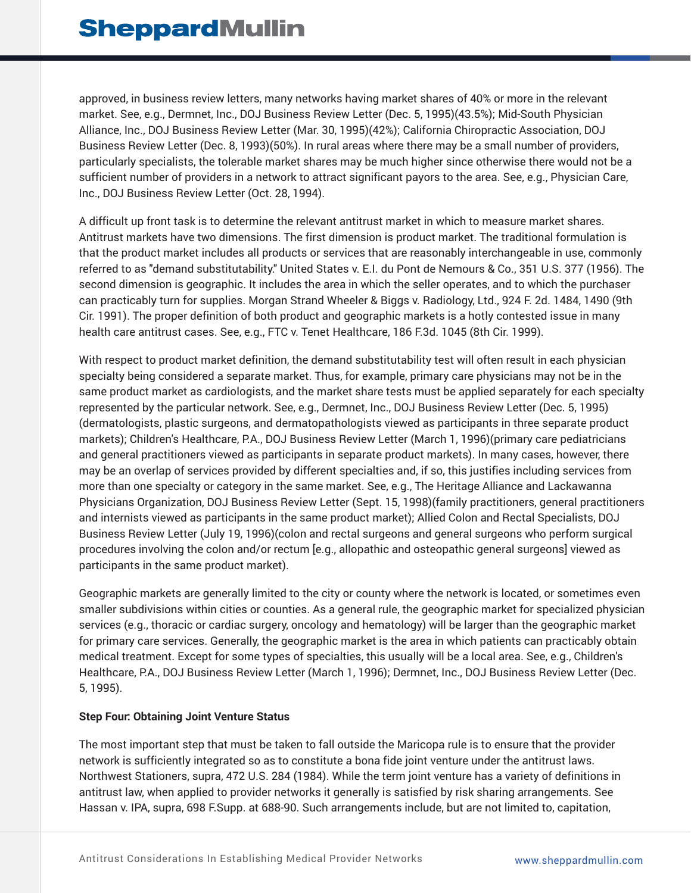approved, in business review letters, many networks having market shares of 40% or more in the relevant market. See, e.g., Dermnet, Inc., DOJ Business Review Letter (Dec. 5, 1995)(43.5%); Mid-South Physician Alliance, Inc., DOJ Business Review Letter (Mar. 30, 1995)(42%); California Chiropractic Association, DOJ Business Review Letter (Dec. 8, 1993)(50%). In rural areas where there may be a small number of providers, particularly specialists, the tolerable market shares may be much higher since otherwise there would not be a sufficient number of providers in a network to attract significant payors to the area. See, e.g., Physician Care, Inc., DOJ Business Review Letter (Oct. 28, 1994).

A difficult up front task is to determine the relevant antitrust market in which to measure market shares. Antitrust markets have two dimensions. The first dimension is product market. The traditional formulation is that the product market includes all products or services that are reasonably interchangeable in use, commonly referred to as "demand substitutability." United States v. E.I. du Pont de Nemours & Co., 351 U.S. 377 (1956). The second dimension is geographic. It includes the area in which the seller operates, and to which the purchaser can practicably turn for supplies. Morgan Strand Wheeler & Biggs v. Radiology, Ltd., 924 F. 2d. 1484, 1490 (9th Cir. 1991). The proper definition of both product and geographic markets is a hotly contested issue in many health care antitrust cases. See, e.g., FTC v. Tenet Healthcare, 186 F.3d. 1045 (8th Cir. 1999).

With respect to product market definition, the demand substitutability test will often result in each physician specialty being considered a separate market. Thus, for example, primary care physicians may not be in the same product market as cardiologists, and the market share tests must be applied separately for each specialty represented by the particular network. See, e.g., Dermnet, Inc., DOJ Business Review Letter (Dec. 5, 1995) (dermatologists, plastic surgeons, and dermatopathologists viewed as participants in three separate product markets); Children's Healthcare, P.A., DOJ Business Review Letter (March 1, 1996)(primary care pediatricians and general practitioners viewed as participants in separate product markets). In many cases, however, there may be an overlap of services provided by different specialties and, if so, this justifies including services from more than one specialty or category in the same market. See, e.g., The Heritage Alliance and Lackawanna Physicians Organization, DOJ Business Review Letter (Sept. 15, 1998)(family practitioners, general practitioners and internists viewed as participants in the same product market); Allied Colon and Rectal Specialists, DOJ Business Review Letter (July 19, 1996)(colon and rectal surgeons and general surgeons who perform surgical procedures involving the colon and/or rectum [e.g., allopathic and osteopathic general surgeons] viewed as participants in the same product market).

Geographic markets are generally limited to the city or county where the network is located, or sometimes even smaller subdivisions within cities or counties. As a general rule, the geographic market for specialized physician services (e.g., thoracic or cardiac surgery, oncology and hematology) will be larger than the geographic market for primary care services. Generally, the geographic market is the area in which patients can practicably obtain medical treatment. Except for some types of specialties, this usually will be a local area. See, e.g., Children's Healthcare, P.A., DOJ Business Review Letter (March 1, 1996); Dermnet, Inc., DOJ Business Review Letter (Dec. 5, 1995).

#### **Step Four: Obtaining Joint Venture Status**

The most important step that must be taken to fall outside the Maricopa rule is to ensure that the provider network is sufficiently integrated so as to constitute a bona fide joint venture under the antitrust laws. Northwest Stationers, supra, 472 U.S. 284 (1984). While the term joint venture has a variety of definitions in antitrust law, when applied to provider networks it generally is satisfied by risk sharing arrangements. See Hassan v. IPA, supra, 698 F.Supp. at 688-90. Such arrangements include, but are not limited to, capitation,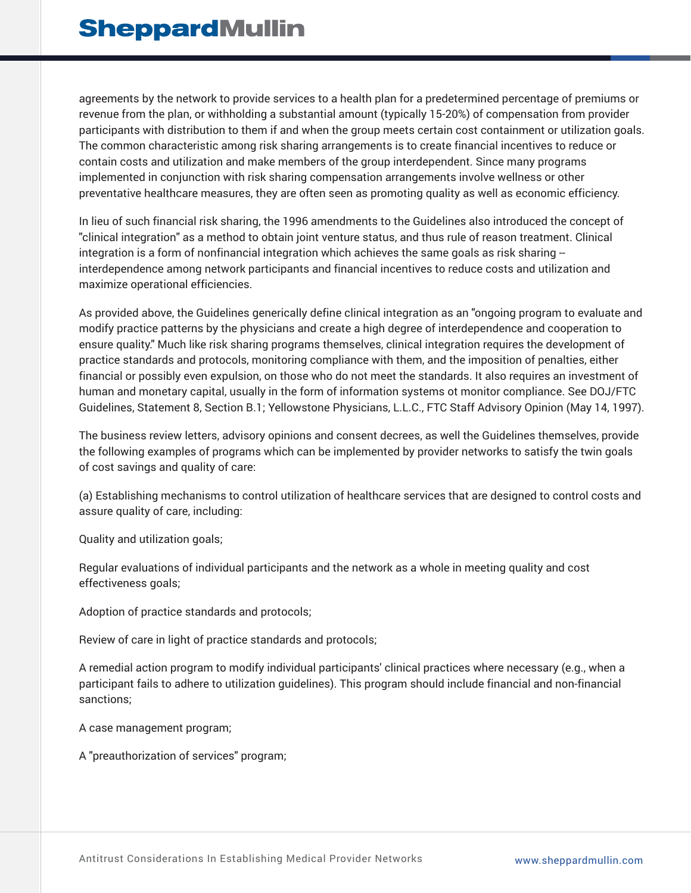agreements by the network to provide services to a health plan for a predetermined percentage of premiums or revenue from the plan, or withholding a substantial amount (typically 15-20%) of compensation from provider participants with distribution to them if and when the group meets certain cost containment or utilization goals. The common characteristic among risk sharing arrangements is to create financial incentives to reduce or contain costs and utilization and make members of the group interdependent. Since many programs implemented in conjunction with risk sharing compensation arrangements involve wellness or other preventative healthcare measures, they are often seen as promoting quality as well as economic efficiency.

In lieu of such financial risk sharing, the 1996 amendments to the Guidelines also introduced the concept of "clinical integration" as a method to obtain joint venture status, and thus rule of reason treatment. Clinical integration is a form of nonfinancial integration which achieves the same goals as risk sharing -interdependence among network participants and financial incentives to reduce costs and utilization and maximize operational efficiencies.

As provided above, the Guidelines generically define clinical integration as an "ongoing program to evaluate and modify practice patterns by the physicians and create a high degree of interdependence and cooperation to ensure quality." Much like risk sharing programs themselves, clinical integration requires the development of practice standards and protocols, monitoring compliance with them, and the imposition of penalties, either financial or possibly even expulsion, on those who do not meet the standards. It also requires an investment of human and monetary capital, usually in the form of information systems ot monitor compliance. See DOJ/FTC Guidelines, Statement 8, Section B.1; Yellowstone Physicians, L.L.C., FTC Staff Advisory Opinion (May 14, 1997).

The business review letters, advisory opinions and consent decrees, as well the Guidelines themselves, provide the following examples of programs which can be implemented by provider networks to satisfy the twin goals of cost savings and quality of care:

(a) Establishing mechanisms to control utilization of healthcare services that are designed to control costs and assure quality of care, including:

Quality and utilization goals;

Regular evaluations of individual participants and the network as a whole in meeting quality and cost effectiveness goals;

Adoption of practice standards and protocols;

Review of care in light of practice standards and protocols;

A remedial action program to modify individual participants' clinical practices where necessary (e.g., when a participant fails to adhere to utilization guidelines). This program should include financial and non-financial sanctions;

A case management program;

A "preauthorization of services" program;